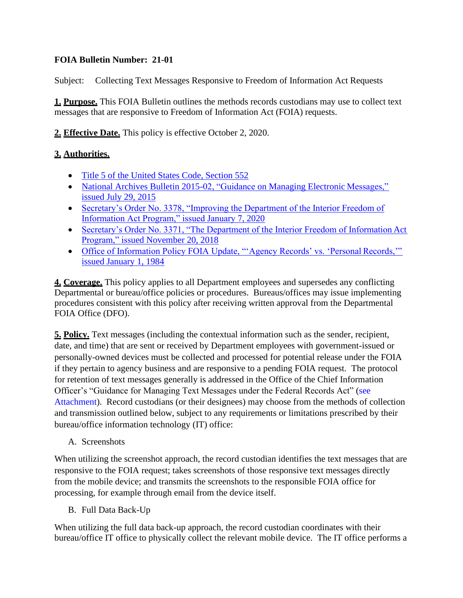## **FOIA Bulletin Number: 21-01**

Subject: Collecting Text Messages Responsive to Freedom of Information Act Requests

**1. Purpose.** This FOIA Bulletin outlines the methods records custodians may use to collect text messages that are responsive to Freedom of Information Act (FOIA) requests.

**2. Effective Date.** This policy is effective October 2, 2020.

## **3. Authorities.**

- [Title 5 of the United States Code, Section](https://www.justice.gov/oip/freedom-information-act-5-usc-552) 552
- [National Archives Bulletin 2015-02, "Guidance](https://www.archives.gov/records-mgmt/bulletins/2015/2015-02.html) on Managing Electronic Messages,["](https://www.archives.gov/records-mgmt/bulletins/2015/2015-02.html) [issued July 29,](https://www.archives.gov/records-mgmt/bulletins/2015/2015-02.html) 2015
- [Secretary's Order No. 3378, "Improving the Department of the Interior Freedom of](https://www.doi.gov/sites/doi.gov/files/uploads/so-3378-signed-508-0.pdf) [Information Act Program," issued January 7,](https://www.doi.gov/sites/doi.gov/files/uploads/so-3378-signed-508-0.pdf) 2020
- [Secretary's Order No. 3371, "The Department of the Interior Freedom of Information](https://www.doi.gov/sites/doi.gov/files/uploads/so_3371.pdf) Ac[t](https://www.doi.gov/sites/doi.gov/files/uploads/so_3371.pdf) [Program," issued November 20,](https://www.doi.gov/sites/doi.gov/files/uploads/so_3371.pdf) 2018
- [Office of Information Policy FOIA Update, "'Agency Records' vs. 'Personal](https://www.justice.gov/oip/blog/foia-update-oip-guidance-agency-records-vs-personal-records) Records,["](https://www.justice.gov/oip/blog/foia-update-oip-guidance-agency-records-vs-personal-records) [issued January 1,](https://www.justice.gov/oip/blog/foia-update-oip-guidance-agency-records-vs-personal-records) 1984

**4. Coverage.** This policy applies to all Department employees and supersedes any conflicting Departmental or bureau/office policies or procedures. Bureaus/offices may issue implementing procedures consistent with this policy after receiving written approval from the Departmental FOIA Office (DFO).

**5. Policy.** Text messages (including the contextual information such as the sender, recipient, date, and time) that are sent or received by Department employees with government-issued or personally-owned devices must be collected and processed for potential release under the FOIA if they pertain to agency business and are responsive to a pending FOIA request. The protocol for retention of text messages generally is addressed in the Office of the Chief Information Officer's "Guidance for Managing Text Messages under the Federal Records Act" [\(see](#page-2-0) [Attachment\)](#page-2-0). Record custodians (or their designees) may choose from the methods of collection and transmission outlined below, subject to any requirements or limitations prescribed by their bureau/office information technology (IT) office:

A. Screenshots

When utilizing the screenshot approach, the record custodian identifies the text messages that are responsive to the FOIA request; takes screenshots of those responsive text messages directly from the mobile device; and transmits the screenshots to the responsible FOIA office for processing, for example through email from the device itself.

B. Full Data Back-Up

When utilizing the full data back-up approach, the record custodian coordinates with their bureau/office IT office to physically collect the relevant mobile device. The IT office performs a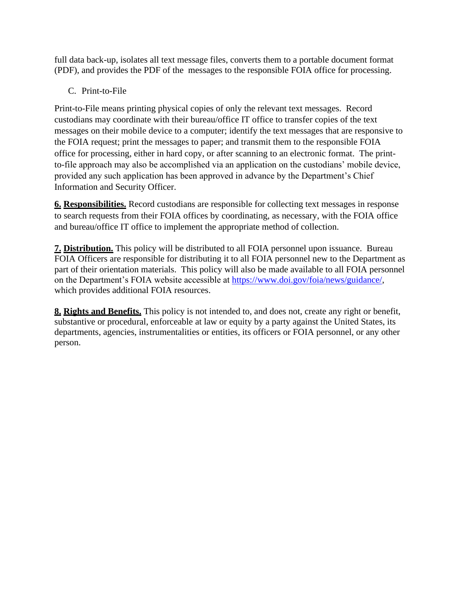full data back-up, isolates all text message files, converts them to a portable document format (PDF), and provides the PDF of the messages to the responsible FOIA office for processing.

C. Print-to-File

Print-to-File means printing physical copies of only the relevant text messages. Record custodians may coordinate with their bureau/office IT office to transfer copies of the text messages on their mobile device to a computer; identify the text messages that are responsive to the FOIA request; print the messages to paper; and transmit them to the responsible FOIA office for processing, either in hard copy, or after scanning to an electronic format. The printto-file approach may also be accomplished via an application on the custodians' mobile device, provided any such application has been approved in advance by the Department's Chief Information and Security Officer.

**6. Responsibilities.** Record custodians are responsible for collecting text messages in response to search requests from their FOIA offices by coordinating, as necessary, with the FOIA office and bureau/office IT office to implement the appropriate method of collection.

**7. Distribution.** This policy will be distributed to all FOIA personnel upon issuance. Bureau FOIA Officers are responsible for distributing it to all FOIA personnel new to the Department as part of their orientation materials. This policy will also be made available to all FOIA personnel on the Department's FOIA website accessible at [https://www.doi.gov/foia/news/guidance/,](https://www.doi.gov/foia/news/guidance/) which provides additional FOIA resources.

**8. Rights and Benefits.** This policy is not intended to, and does not, create any right or benefit, substantive or procedural, enforceable at law or equity by a party against the United States, its departments, agencies, instrumentalities or entities, its officers or FOIA personnel, or any other person.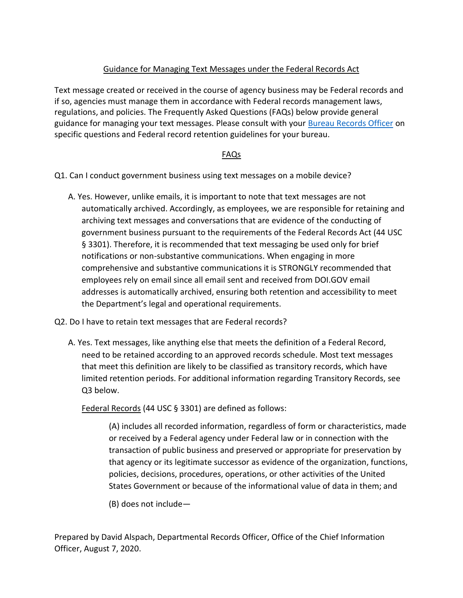## Guidance for Managing Text Messages under the Federal Records Act

<span id="page-2-0"></span>Text message created or received in the course of agency business may be Federal records and if so, agencies must manage them in accordance with Federal records management laws, regulations, and policies. The Frequently Asked Questions (FAQs) below provide general guidance for managing your text messages. Please consult with your [Bureau Records Officer](https://www.doi.gov/ocio/policy-mgmt-support/information-and-records-management/records/contacts) on specific questions and Federal record retention guidelines for your bureau.

## FAQs

Q1. Can I conduct government business using text messages on a mobile device?

- A. Yes. However, unlike emails, it is important to note that text messages are not automatically archived. Accordingly, as employees, we are responsible for retaining and archiving text messages and conversations that are evidence of the conducting of government business pursuant to the requirements of the Federal Records Act (44 USC § 3301). Therefore, it is recommended that text messaging be used only for brief notifications or non-substantive communications. When engaging in more comprehensive and substantive communications it is STRONGLY recommended that employees rely on email since all email sent and received from DOI.GOV email addresses is automatically archived, ensuring both retention and accessibility to meet the Department's legal and operational requirements.
- Q2. Do I have to retain text messages that are Federal records?
	- A. Yes. Text messages, like anything else that meets the definition of a Federal Record, need to be retained according to an approved records schedule. Most text messages that meet this definition are likely to be classified as transitory records, which have limited retention periods. For additional information regarding Transitory Records, see Q3 below.

Federal Records (44 USC § 3301) are defined as follows:

(A) includes all recorded information, regardless of form or characteristics, made or received by a Federal agency under Federal law or in connection with the transaction of public business and preserved or appropriate for preservation by that agency or its legitimate successor as evidence of the organization, functions, policies, decisions, procedures, operations, or other activities of the United States Government or because of the informational value of data in them; and

(B) does not include—

Prepared by David Alspach, Departmental Records Officer, Office of the Chief Information Officer, August 7, 2020.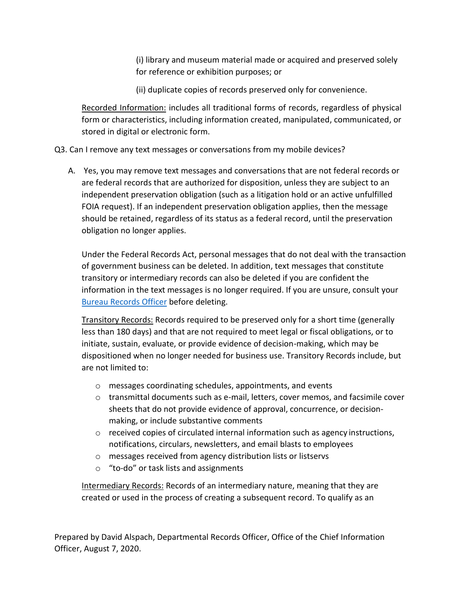(i) library and museum material made or acquired and preserved solely for reference or exhibition purposes; or

(ii) duplicate copies of records preserved only for convenience.

Recorded Information: includes all traditional forms of records, regardless of physical form or characteristics, including information created, manipulated, communicated, or stored in digital or electronic form.

Q3. Can I remove any text messages or conversations from my mobile devices?

A. Yes, you may remove text messages and conversations that are not federal records or are federal records that are authorized for disposition, unless they are subject to an independent preservation obligation (such as a litigation hold or an active unfulfilled FOIA request). If an independent preservation obligation applies, then the message should be retained, regardless of its status as a federal record, until the preservation obligation no longer applies.

Under the Federal Records Act, personal messages that do not deal with the transaction of government business can be deleted. In addition, text messages that constitute transitory or intermediary records can also be deleted if you are confident the information in the text messages is no longer required. If you are unsure, consult your [Bureau Records Officer](https://www.doi.gov/ocio/policy-mgmt-support/information-and-records-management/records/contacts) before deleting.

Transitory Records: Records required to be preserved only for a short time (generally less than 180 days) and that are not required to meet legal or fiscal obligations, or to initiate, sustain, evaluate, or provide evidence of decision-making, which may be dispositioned when no longer needed for business use. Transitory Records include, but are not limited to:

- o messages coordinating schedules, appointments, and events
- $\circ$  transmittal documents such as e-mail, letters, cover memos, and facsimile cover sheets that do not provide evidence of approval, concurrence, or decisionmaking, or include substantive comments
- $\circ$  received copies of circulated internal information such as agency instructions, notifications, circulars, newsletters, and email blasts to employees
- o messages received from agency distribution lists or listservs
- o "to-do" or task lists and assignments

Intermediary Records: Records of an intermediary nature, meaning that they are created or used in the process of creating a subsequent record. To qualify as an

Prepared by David Alspach, Departmental Records Officer, Office of the Chief Information Officer, August 7, 2020.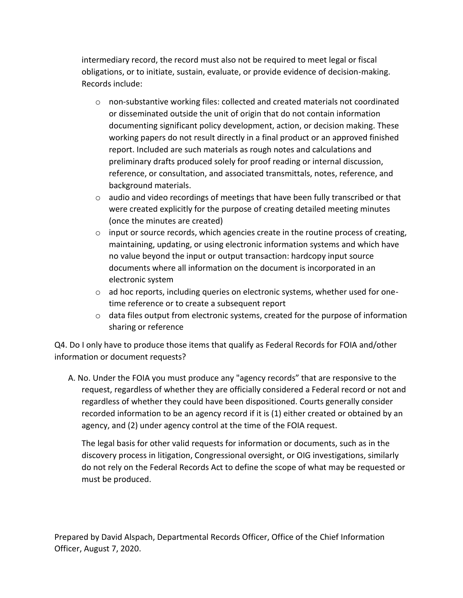intermediary record, the record must also not be required to meet legal or fiscal obligations, or to initiate, sustain, evaluate, or provide evidence of decision-making. Records include:

- o non-substantive working files: collected and created materials not coordinated or disseminated outside the unit of origin that do not contain information documenting significant policy development, action, or decision making. These working papers do not result directly in a final product or an approved finished report. Included are such materials as rough notes and calculations and preliminary drafts produced solely for proof reading or internal discussion, reference, or consultation, and associated transmittals, notes, reference, and background materials.
- $\circ$  audio and video recordings of meetings that have been fully transcribed or that were created explicitly for the purpose of creating detailed meeting minutes (once the minutes are created)
- o input or source records, which agencies create in the routine process of creating, maintaining, updating, or using electronic information systems and which have no value beyond the input or output transaction: hardcopy input source documents where all information on the document is incorporated in an electronic system
- $\circ$  ad hoc reports, including queries on electronic systems, whether used for onetime reference or to create a subsequent report
- o data files output from electronic systems, created for the purpose of information sharing or reference

Q4. Do I only have to produce those items that qualify as Federal Records for FOIA and/other information or document requests?

A. No. Under the FOIA you must produce any "agency records" that are responsive to the request, regardless of whether they are officially considered a Federal record or not and regardless of whether they could have been dispositioned. Courts generally consider recorded information to be an agency record if it is (1) either created or obtained by an agency, and (2) under agency control at the time of the FOIA request.

The legal basis for other valid requests for information or documents, such as in the discovery process in litigation, Congressional oversight, or OIG investigations, similarly do not rely on the Federal Records Act to define the scope of what may be requested or must be produced.

Prepared by David Alspach, Departmental Records Officer, Office of the Chief Information Officer, August 7, 2020.